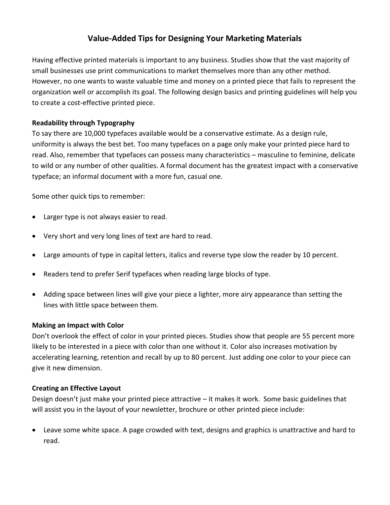# **Value-Added Tips for Designing Your Marketing Materials**

Having effective printed materials is important to any business. Studies show that the vast majority of small businesses use print communications to market themselves more than any other method. However, no one wants to waste valuable time and money on a printed piece that fails to represent the organization well or accomplish its goal. The following design basics and printing guidelines will help you to create a cost-effective printed piece.

## **Readability through Typography**

To say there are 10,000 typefaces available would be a conservative estimate. As a design rule, uniformity is always the best bet. Too many typefaces on a page only make your printed piece hard to read. Also, remember that typefaces can possess many characteristics – masculine to feminine, delicate to wild or any number of other qualities. A formal document has the greatest impact with a conservative typeface; an informal document with a more fun, casual one.

Some other quick tips to remember:

- Larger type is not always easier to read.
- Very short and very long lines of text are hard to read.
- Large amounts of type in capital letters, italics and reverse type slow the reader by 10 percent.
- Readers tend to prefer Serif typefaces when reading large blocks of type.
- Adding space between lines will give your piece a lighter, more airy appearance than setting the lines with little space between them.

#### **Making an Impact with Color**

Don't overlook the effect of color in your printed pieces. Studies show that people are 55 percent more likely to be interested in a piece with color than one without it. Color also increases motivation by accelerating learning, retention and recall by up to 80 percent. Just adding one color to your piece can give it new dimension.

#### **Creating an Effective Layout**

Design doesn't just make your printed piece attractive – it makes it work. Some basic guidelines that will assist you in the layout of your newsletter, brochure or other printed piece include:

 Leave some white space. A page crowded with text, designs and graphics is unattractive and hard to read.